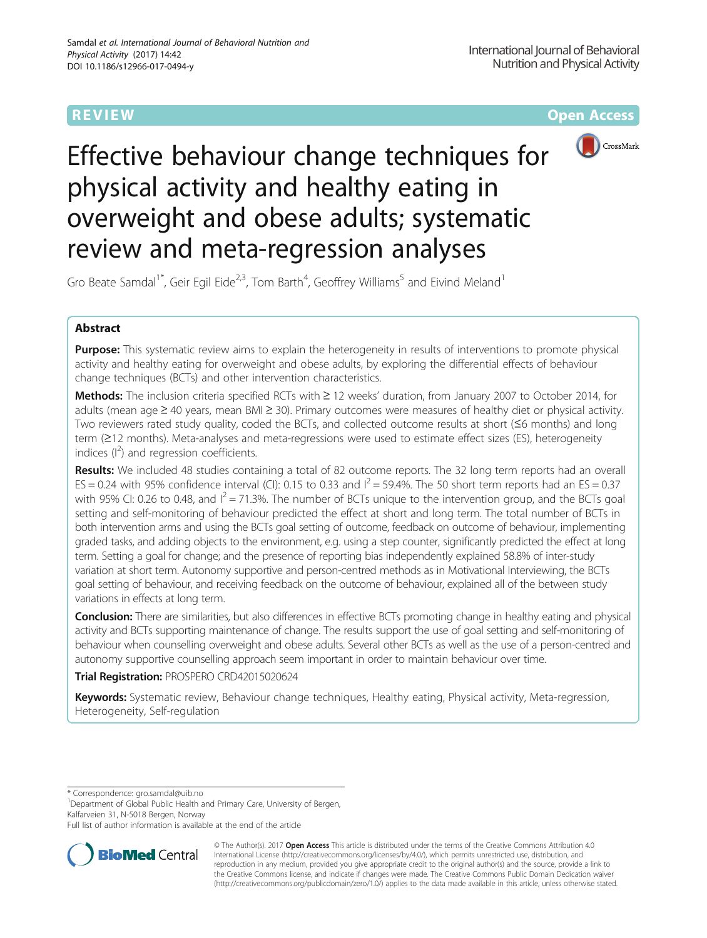**REVIEW CONTROL** CONTROL CONTROL CONTROL CONTROL CONTROL CONTROL CONTROL CONTROL CONTROL CONTROL CONTROL CONTROL CONTROL CONTROL CONTROL CONTROL CONTROL CONTROL CONTROL CONTROL CONTROL CONTROL CONTROL CONTROL CONTROL CONTR



# Effective behaviour change techniques for physical activity and healthy eating in overweight and obese adults; systematic review and meta-regression analyses

Gro Beate Samdal<sup>1\*</sup>, Geir Egil Eide<sup>2,3</sup>, Tom Barth<sup>4</sup>, Geoffrey Williams<sup>5</sup> and Eivind Meland<sup>1</sup>

# Abstract

Purpose: This systematic review aims to explain the heterogeneity in results of interventions to promote physical activity and healthy eating for overweight and obese adults, by exploring the differential effects of behaviour change techniques (BCTs) and other intervention characteristics.

Methods: The inclusion criteria specified RCTs with ≥ 12 weeks' duration, from January 2007 to October 2014, for adults (mean age ≥ 40 years, mean BMI ≥ 30). Primary outcomes were measures of healthy diet or physical activity. Two reviewers rated study quality, coded the BCTs, and collected outcome results at short (≤6 months) and long term (≥12 months). Meta-analyses and meta-regressions were used to estimate effect sizes (ES), heterogeneity indices  $(I^2)$  and regression coefficients.

Results: We included 48 studies containing a total of 82 outcome reports. The 32 long term reports had an overall ES = 0.24 with 95% confidence interval (CI): 0.15 to 0.33 and  $I^2$  = 59.4%. The 50 short term reports had an ES = 0.37 with 95% CI: 0.26 to 0.48, and  $I^2 = 71.3$ %. The number of BCTs unique to the intervention group, and the BCTs goal setting and self-monitoring of behaviour predicted the effect at short and long term. The total number of BCTs in both intervention arms and using the BCTs goal setting of outcome, feedback on outcome of behaviour, implementing graded tasks, and adding objects to the environment, e.g. using a step counter, significantly predicted the effect at long term. Setting a goal for change; and the presence of reporting bias independently explained 58.8% of inter-study variation at short term. Autonomy supportive and person-centred methods as in Motivational Interviewing, the BCTs goal setting of behaviour, and receiving feedback on the outcome of behaviour, explained all of the between study variations in effects at long term.

Conclusion: There are similarities, but also differences in effective BCTs promoting change in healthy eating and physical activity and BCTs supporting maintenance of change. The results support the use of goal setting and self-monitoring of behaviour when counselling overweight and obese adults. Several other BCTs as well as the use of a person-centred and autonomy supportive counselling approach seem important in order to maintain behaviour over time.

# Trial Registration: PROSPERO [CRD42015020624](http://www.crd.york.ac.uk/PROSPERO/display_record.asp?ID=CRD42015020624)

Keywords: Systematic review, Behaviour change techniques, Healthy eating, Physical activity, Meta-regression, Heterogeneity, Self-regulation

\* Correspondence: [gro.samdal@uib.no](mailto:gro.samdal@uib.no) <sup>1</sup>

<sup>1</sup>Department of Global Public Health and Primary Care, University of Bergen, Kalfarveien 31, N-5018 Bergen, Norway

Full list of author information is available at the end of the article



© The Author(s). 2017 **Open Access** This article is distributed under the terms of the Creative Commons Attribution 4.0 International License [\(http://creativecommons.org/licenses/by/4.0/](http://creativecommons.org/licenses/by/4.0/)), which permits unrestricted use, distribution, and reproduction in any medium, provided you give appropriate credit to the original author(s) and the source, provide a link to the Creative Commons license, and indicate if changes were made. The Creative Commons Public Domain Dedication waiver [\(http://creativecommons.org/publicdomain/zero/1.0/](http://creativecommons.org/publicdomain/zero/1.0/)) applies to the data made available in this article, unless otherwise stated.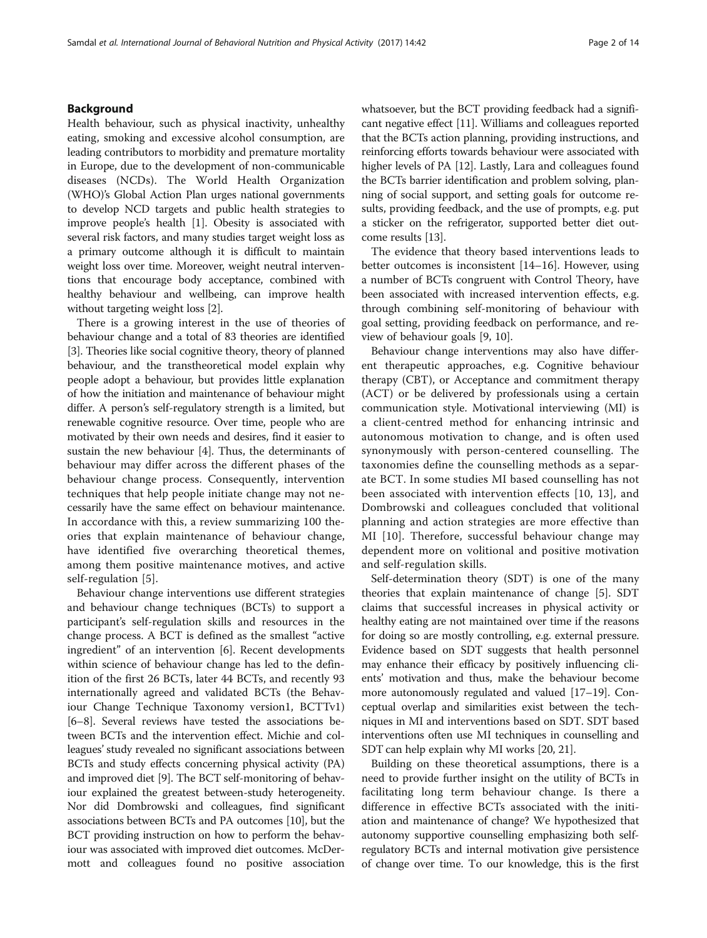### Background

Health behaviour, such as physical inactivity, unhealthy eating, smoking and excessive alcohol consumption, are leading contributors to morbidity and premature mortality in Europe, due to the development of non-communicable diseases (NCDs). The World Health Organization (WHO)'s Global Action Plan urges national governments to develop NCD targets and public health strategies to improve people's health [[1](#page-11-0)]. Obesity is associated with several risk factors, and many studies target weight loss as a primary outcome although it is difficult to maintain weight loss over time. Moreover, weight neutral interventions that encourage body acceptance, combined with healthy behaviour and wellbeing, can improve health without targeting weight loss [[2\]](#page-11-0).

There is a growing interest in the use of theories of behaviour change and a total of 83 theories are identified [[3\]](#page-11-0). Theories like social cognitive theory, theory of planned behaviour, and the transtheoretical model explain why people adopt a behaviour, but provides little explanation of how the initiation and maintenance of behaviour might differ. A person's self-regulatory strength is a limited, but renewable cognitive resource. Over time, people who are motivated by their own needs and desires, find it easier to sustain the new behaviour [\[4](#page-11-0)]. Thus, the determinants of behaviour may differ across the different phases of the behaviour change process. Consequently, intervention techniques that help people initiate change may not necessarily have the same effect on behaviour maintenance. In accordance with this, a review summarizing 100 theories that explain maintenance of behaviour change, have identified five overarching theoretical themes, among them positive maintenance motives, and active self-regulation [[5\]](#page-11-0).

Behaviour change interventions use different strategies and behaviour change techniques (BCTs) to support a participant's self-regulation skills and resources in the change process. A BCT is defined as the smallest "active ingredient" of an intervention [\[6](#page-11-0)]. Recent developments within science of behaviour change has led to the definition of the first 26 BCTs, later 44 BCTs, and recently 93 internationally agreed and validated BCTs (the Behaviour Change Technique Taxonomy version1, BCTTv1) [[6](#page-11-0)–[8](#page-11-0)]. Several reviews have tested the associations between BCTs and the intervention effect. Michie and colleagues' study revealed no significant associations between BCTs and study effects concerning physical activity (PA) and improved diet [\[9\]](#page-11-0). The BCT self-monitoring of behaviour explained the greatest between-study heterogeneity. Nor did Dombrowski and colleagues, find significant associations between BCTs and PA outcomes [\[10\]](#page-11-0), but the BCT providing instruction on how to perform the behaviour was associated with improved diet outcomes. McDermott and colleagues found no positive association whatsoever, but the BCT providing feedback had a significant negative effect [\[11](#page-11-0)]. Williams and colleagues reported that the BCTs action planning, providing instructions, and reinforcing efforts towards behaviour were associated with higher levels of PA [\[12](#page-11-0)]. Lastly, Lara and colleagues found the BCTs barrier identification and problem solving, planning of social support, and setting goals for outcome results, providing feedback, and the use of prompts, e.g. put a sticker on the refrigerator, supported better diet outcome results [\[13\]](#page-11-0).

The evidence that theory based interventions leads to better outcomes is inconsistent [[14](#page-11-0)–[16](#page-11-0)]. However, using a number of BCTs congruent with Control Theory, have been associated with increased intervention effects, e.g. through combining self-monitoring of behaviour with goal setting, providing feedback on performance, and review of behaviour goals [\[9, 10\]](#page-11-0).

Behaviour change interventions may also have different therapeutic approaches, e.g. Cognitive behaviour therapy (CBT), or Acceptance and commitment therapy (ACT) or be delivered by professionals using a certain communication style. Motivational interviewing (MI) is a client-centred method for enhancing intrinsic and autonomous motivation to change, and is often used synonymously with person-centered counselling. The taxonomies define the counselling methods as a separate BCT. In some studies MI based counselling has not been associated with intervention effects [\[10, 13\]](#page-11-0), and Dombrowski and colleagues concluded that volitional planning and action strategies are more effective than MI [\[10](#page-11-0)]. Therefore, successful behaviour change may dependent more on volitional and positive motivation and self-regulation skills.

Self-determination theory (SDT) is one of the many theories that explain maintenance of change [[5](#page-11-0)]. SDT claims that successful increases in physical activity or healthy eating are not maintained over time if the reasons for doing so are mostly controlling, e.g. external pressure. Evidence based on SDT suggests that health personnel may enhance their efficacy by positively influencing clients' motivation and thus, make the behaviour become more autonomously regulated and valued [[17](#page-11-0)–[19\]](#page-11-0). Conceptual overlap and similarities exist between the techniques in MI and interventions based on SDT. SDT based interventions often use MI techniques in counselling and SDT can help explain why MI works [\[20, 21](#page-11-0)].

Building on these theoretical assumptions, there is a need to provide further insight on the utility of BCTs in facilitating long term behaviour change. Is there a difference in effective BCTs associated with the initiation and maintenance of change? We hypothesized that autonomy supportive counselling emphasizing both selfregulatory BCTs and internal motivation give persistence of change over time. To our knowledge, this is the first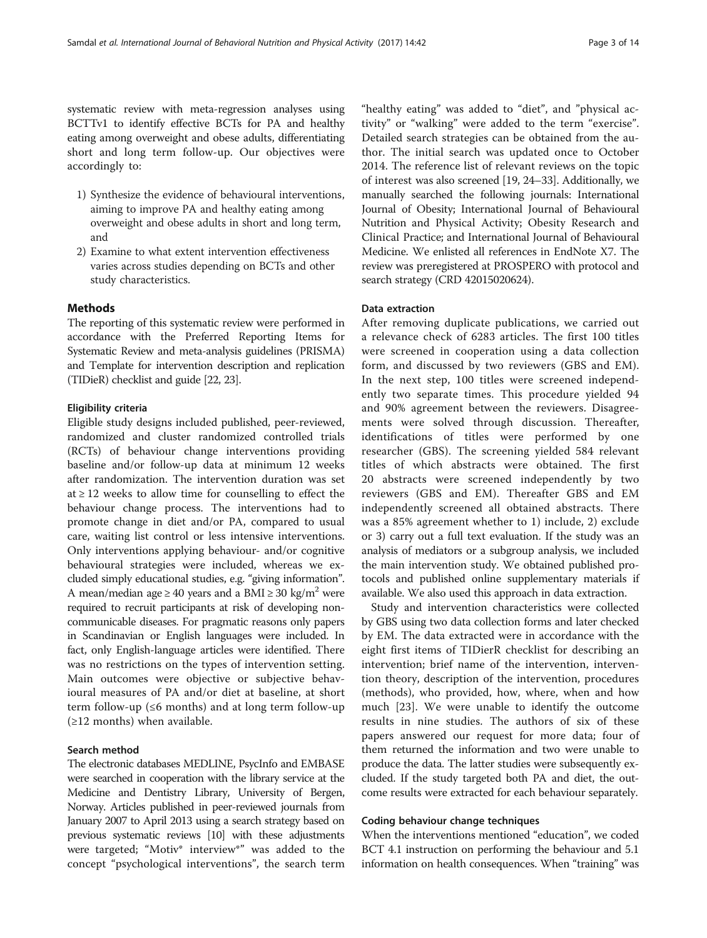systematic review with meta-regression analyses using BCTTv1 to identify effective BCTs for PA and healthy eating among overweight and obese adults, differentiating short and long term follow-up. Our objectives were accordingly to:

- 1) Synthesize the evidence of behavioural interventions, aiming to improve PA and healthy eating among overweight and obese adults in short and long term, and
- 2) Examine to what extent intervention effectiveness varies across studies depending on BCTs and other study characteristics.

#### Methods

The reporting of this systematic review were performed in accordance with the Preferred Reporting Items for Systematic Review and meta-analysis guidelines (PRISMA) and Template for intervention description and replication (TIDieR) checklist and guide [[22](#page-11-0), [23](#page-11-0)].

#### Eligibility criteria

Eligible study designs included published, peer-reviewed, randomized and cluster randomized controlled trials (RCTs) of behaviour change interventions providing baseline and/or follow-up data at minimum 12 weeks after randomization. The intervention duration was set  $at \geq 12$  weeks to allow time for counselling to effect the behaviour change process. The interventions had to promote change in diet and/or PA, compared to usual care, waiting list control or less intensive interventions. Only interventions applying behaviour- and/or cognitive behavioural strategies were included, whereas we excluded simply educational studies, e.g. "giving information". A mean/median age  $\geq 40$  years and a BMI  $\geq 30$  kg/m<sup>2</sup> were required to recruit participants at risk of developing noncommunicable diseases. For pragmatic reasons only papers in Scandinavian or English languages were included. In fact, only English-language articles were identified. There was no restrictions on the types of intervention setting. Main outcomes were objective or subjective behavioural measures of PA and/or diet at baseline, at short term follow-up (≤6 months) and at long term follow-up  $(≥12$  months) when available.

#### Search method

The electronic databases MEDLINE, PsycInfo and EMBASE were searched in cooperation with the library service at the Medicine and Dentistry Library, University of Bergen, Norway. Articles published in peer-reviewed journals from January 2007 to April 2013 using a search strategy based on previous systematic reviews [[10\]](#page-11-0) with these adjustments were targeted; "Motiv\* interview\*" was added to the concept "psychological interventions", the search term

"healthy eating" was added to "diet", and "physical activity" or "walking" were added to the term "exercise". Detailed search strategies can be obtained from the author. The initial search was updated once to October 2014. The reference list of relevant reviews on the topic of interest was also screened [\[19](#page-11-0), [24](#page-11-0)–[33\]](#page-11-0). Additionally, we manually searched the following journals: International Journal of Obesity; International Journal of Behavioural Nutrition and Physical Activity; Obesity Research and Clinical Practice; and International Journal of Behavioural Medicine. We enlisted all references in EndNote X7. The review was preregistered at PROSPERO with protocol and search strategy (CRD 42015020624).

#### Data extraction

After removing duplicate publications, we carried out a relevance check of 6283 articles. The first 100 titles were screened in cooperation using a data collection form, and discussed by two reviewers (GBS and EM). In the next step, 100 titles were screened independently two separate times. This procedure yielded 94 and 90% agreement between the reviewers. Disagreements were solved through discussion. Thereafter, identifications of titles were performed by one researcher (GBS). The screening yielded 584 relevant titles of which abstracts were obtained. The first 20 abstracts were screened independently by two reviewers (GBS and EM). Thereafter GBS and EM independently screened all obtained abstracts. There was a 85% agreement whether to 1) include, 2) exclude or 3) carry out a full text evaluation. If the study was an analysis of mediators or a subgroup analysis, we included the main intervention study. We obtained published protocols and published online supplementary materials if available. We also used this approach in data extraction.

Study and intervention characteristics were collected by GBS using two data collection forms and later checked by EM. The data extracted were in accordance with the eight first items of TIDierR checklist for describing an intervention; brief name of the intervention, intervention theory, description of the intervention, procedures (methods), who provided, how, where, when and how much [[23\]](#page-11-0). We were unable to identify the outcome results in nine studies. The authors of six of these papers answered our request for more data; four of them returned the information and two were unable to produce the data. The latter studies were subsequently excluded. If the study targeted both PA and diet, the outcome results were extracted for each behaviour separately.

#### Coding behaviour change techniques

When the interventions mentioned "education", we coded BCT 4.1 instruction on performing the behaviour and 5.1 information on health consequences. When "training" was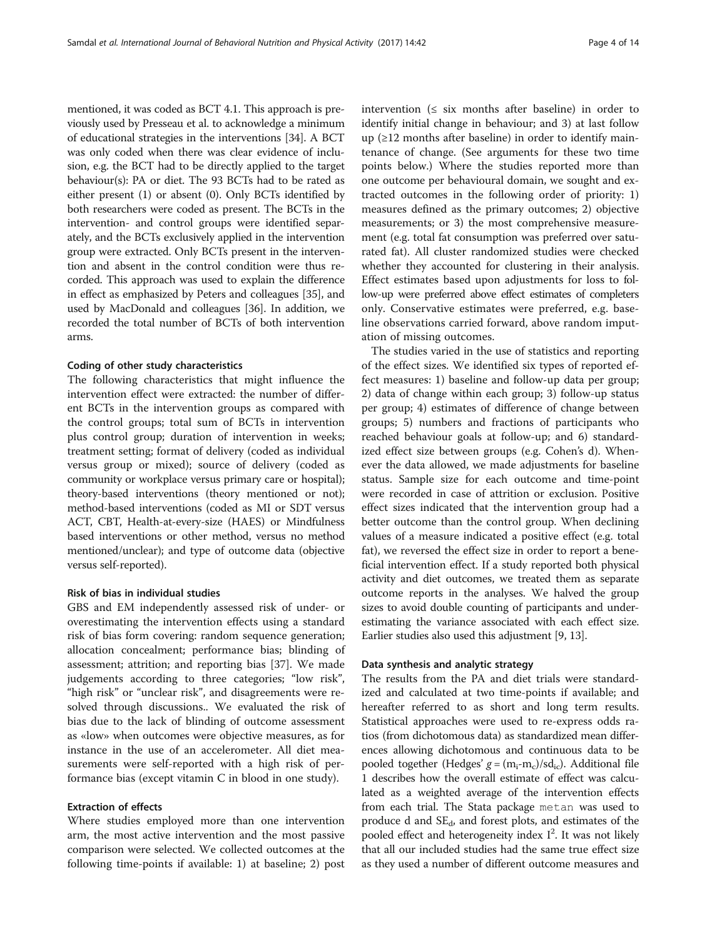mentioned, it was coded as BCT 4.1. This approach is previously used by Presseau et al. to acknowledge a minimum of educational strategies in the interventions [\[34\]](#page-11-0). A BCT was only coded when there was clear evidence of inclusion, e.g. the BCT had to be directly applied to the target behaviour(s): PA or diet. The 93 BCTs had to be rated as either present (1) or absent (0). Only BCTs identified by both researchers were coded as present. The BCTs in the intervention- and control groups were identified separately, and the BCTs exclusively applied in the intervention group were extracted. Only BCTs present in the intervention and absent in the control condition were thus recorded. This approach was used to explain the difference in effect as emphasized by Peters and colleagues [[35](#page-11-0)], and used by MacDonald and colleagues [\[36](#page-11-0)]. In addition, we recorded the total number of BCTs of both intervention arms.

#### Coding of other study characteristics

The following characteristics that might influence the intervention effect were extracted: the number of different BCTs in the intervention groups as compared with the control groups; total sum of BCTs in intervention plus control group; duration of intervention in weeks; treatment setting; format of delivery (coded as individual versus group or mixed); source of delivery (coded as community or workplace versus primary care or hospital); theory-based interventions (theory mentioned or not); method-based interventions (coded as MI or SDT versus ACT, CBT, Health-at-every-size (HAES) or Mindfulness based interventions or other method, versus no method mentioned/unclear); and type of outcome data (objective versus self-reported).

#### Risk of bias in individual studies

GBS and EM independently assessed risk of under- or overestimating the intervention effects using a standard risk of bias form covering: random sequence generation; allocation concealment; performance bias; blinding of assessment; attrition; and reporting bias [\[37\]](#page-11-0). We made judgements according to three categories; "low risk", "high risk" or "unclear risk", and disagreements were resolved through discussions.. We evaluated the risk of bias due to the lack of blinding of outcome assessment as «low» when outcomes were objective measures, as for instance in the use of an accelerometer. All diet measurements were self-reported with a high risk of performance bias (except vitamin C in blood in one study).

#### Extraction of effects

Where studies employed more than one intervention arm, the most active intervention and the most passive comparison were selected. We collected outcomes at the following time-points if available: 1) at baseline; 2) post intervention  $(\leq$  six months after baseline) in order to identify initial change in behaviour; and 3) at last follow up  $(≥12$  months after baseline) in order to identify maintenance of change. (See arguments for these two time points below.) Where the studies reported more than one outcome per behavioural domain, we sought and extracted outcomes in the following order of priority: 1) measures defined as the primary outcomes; 2) objective measurements; or 3) the most comprehensive measurement (e.g. total fat consumption was preferred over saturated fat). All cluster randomized studies were checked whether they accounted for clustering in their analysis. Effect estimates based upon adjustments for loss to follow-up were preferred above effect estimates of completers only. Conservative estimates were preferred, e.g. baseline observations carried forward, above random imputation of missing outcomes.

The studies varied in the use of statistics and reporting of the effect sizes. We identified six types of reported effect measures: 1) baseline and follow-up data per group; 2) data of change within each group; 3) follow-up status per group; 4) estimates of difference of change between groups; 5) numbers and fractions of participants who reached behaviour goals at follow-up; and 6) standardized effect size between groups (e.g. Cohen's d). Whenever the data allowed, we made adjustments for baseline status. Sample size for each outcome and time-point were recorded in case of attrition or exclusion. Positive effect sizes indicated that the intervention group had a better outcome than the control group. When declining values of a measure indicated a positive effect (e.g. total fat), we reversed the effect size in order to report a beneficial intervention effect. If a study reported both physical activity and diet outcomes, we treated them as separate outcome reports in the analyses. We halved the group sizes to avoid double counting of participants and underestimating the variance associated with each effect size. Earlier studies also used this adjustment [\[9](#page-11-0), [13\]](#page-11-0).

#### Data synthesis and analytic strategy

The results from the PA and diet trials were standardized and calculated at two time-points if available; and hereafter referred to as short and long term results. Statistical approaches were used to re-express odds ratios (from dichotomous data) as standardized mean differences allowing dichotomous and continuous data to be pooled together (Hedges'  $g = (m_i-m_c)/s d_i$ ). Additional file<br>1 describes how the overall estimate of effect was calcu-[1](#page-10-0) describes how the overall estimate of effect was calculated as a weighted average of the intervention effects from each trial. The Stata package metan was used to produce d and  $SE_d$ , and forest plots, and estimates of the pooled effect and heterogeneity index  $I^2$ . It was not likely that all our included studies had the same true effect size as they used a number of different outcome measures and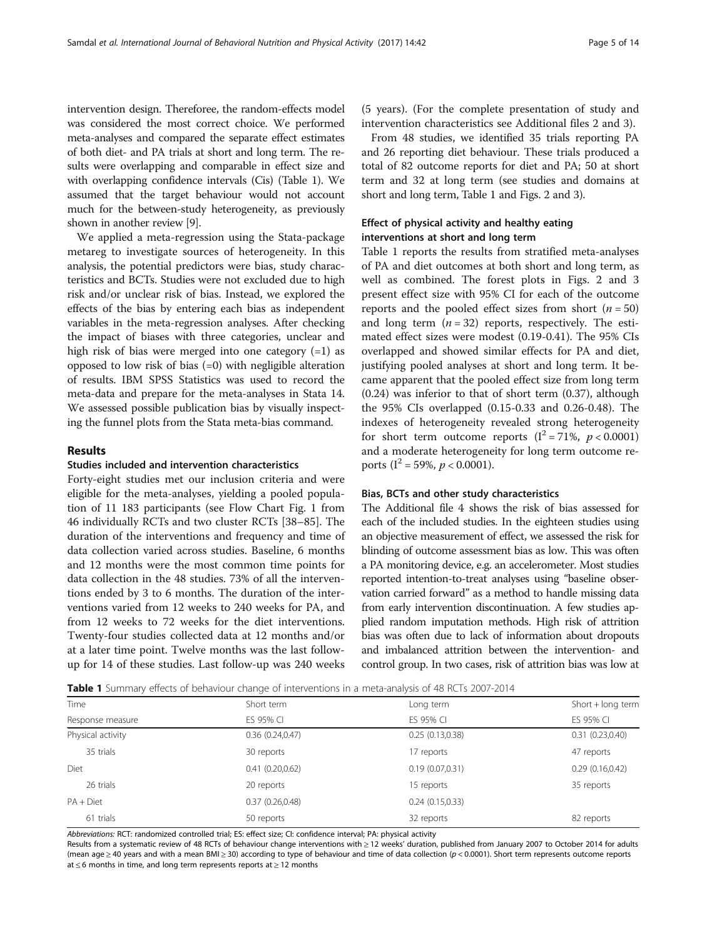intervention design. Thereforee, the random-effects model was considered the most correct choice. We performed meta-analyses and compared the separate effect estimates of both diet- and PA trials at short and long term. The results were overlapping and comparable in effect size and with overlapping confidence intervals (Cis) (Table 1). We assumed that the target behaviour would not account much for the between-study heterogeneity, as previously shown in another review [[9\]](#page-11-0).

We applied a meta-regression using the Stata-package metareg to investigate sources of heterogeneity. In this analysis, the potential predictors were bias, study characteristics and BCTs. Studies were not excluded due to high risk and/or unclear risk of bias. Instead, we explored the effects of the bias by entering each bias as independent variables in the meta-regression analyses. After checking the impact of biases with three categories, unclear and high risk of bias were merged into one category  $(=1)$  as opposed to low risk of bias (=0) with negligible alteration of results. IBM SPSS Statistics was used to record the meta-data and prepare for the meta-analyses in Stata 14. We assessed possible publication bias by visually inspecting the funnel plots from the Stata meta-bias command.

#### Results

#### Studies included and intervention characteristics

Forty-eight studies met our inclusion criteria and were eligible for the meta-analyses, yielding a pooled population of 11 183 participants (see Flow Chart Fig. [1](#page-5-0) from 46 individually RCTs and two cluster RCTs [\[38](#page-12-0)–[85\]](#page-13-0). The duration of the interventions and frequency and time of data collection varied across studies. Baseline, 6 months and 12 months were the most common time points for data collection in the 48 studies. 73% of all the interventions ended by 3 to 6 months. The duration of the interventions varied from 12 weeks to 240 weeks for PA, and from 12 weeks to 72 weeks for the diet interventions. Twenty-four studies collected data at 12 months and/or at a later time point. Twelve months was the last followup for 14 of these studies. Last follow-up was 240 weeks

(5 years). (For the complete presentation of study and intervention characteristics see Additional files [2](#page-10-0) and [3](#page-10-0)).

From 48 studies, we identified 35 trials reporting PA and 26 reporting diet behaviour. These trials produced a total of 82 outcome reports for diet and PA; 50 at short term and 32 at long term (see studies and domains at short and long term, Table 1 and Figs. [2](#page-6-0) and [3](#page-7-0)).

#### Effect of physical activity and healthy eating interventions at short and long term

Table 1 reports the results from stratified meta-analyses of PA and diet outcomes at both short and long term, as well as combined. The forest plots in Figs. [2](#page-6-0) and [3](#page-7-0) present effect size with 95% CI for each of the outcome reports and the pooled effect sizes from short  $(n = 50)$ and long term  $(n = 32)$  reports, respectively. The estimated effect sizes were modest (0.19-0.41). The 95% CIs overlapped and showed similar effects for PA and diet, justifying pooled analyses at short and long term. It became apparent that the pooled effect size from long term (0.24) was inferior to that of short term (0.37), although the 95% CIs overlapped (0.15-0.33 and 0.26-0.48). The indexes of heterogeneity revealed strong heterogeneity for short term outcome reports  $(I^2 = 71\%, p < 0.0001)$ and a moderate heterogeneity for long term outcome reports ( $I^2 = 59\%$ ,  $p < 0.0001$ ).

#### Bias, BCTs and other study characteristics

The Additional file [4](#page-10-0) shows the risk of bias assessed for each of the included studies. In the eighteen studies using an objective measurement of effect, we assessed the risk for blinding of outcome assessment bias as low. This was often a PA monitoring device, e.g. an accelerometer. Most studies reported intention-to-treat analyses using "baseline observation carried forward" as a method to handle missing data from early intervention discontinuation. A few studies applied random imputation methods. High risk of attrition bias was often due to lack of information about dropouts and imbalanced attrition between the intervention- and control group. In two cases, risk of attrition bias was low at

**Table 1** Summary effects of behaviour change of interventions in a meta-analysis of 48 RCTs 2007-2014

| Time              | Short term       | Long term        | Short $+$ long term |  |
|-------------------|------------------|------------------|---------------------|--|
| Response measure  | ES 95% CI        | ES 95% CI        | ES 95% CI           |  |
| Physical activity | 0.36(0.24, 0.47) | 0.25(0.13, 0.38) | 0.31(0.23,0.40)     |  |
| 35 trials         | 30 reports       | 17 reports       | 47 reports          |  |
| Diet              | 0.41(0.20, 0.62) | 0.19(0.07,0.31)  | 0.29(0.16, 0.42)    |  |
| 26 trials         | 20 reports       | 15 reports       | 35 reports          |  |
| $PA + Diet$       | 0.37(0.26, 0.48) | 0.24(0.15,0.33)  |                     |  |
| 61 trials         | 50 reports       | 32 reports       | 82 reports          |  |

Abbreviations: RCT: randomized controlled trial; ES: effect size; CI: confidence interval; PA: physical activity

Results from a systematic review of 48 RCTs of behaviour change interventions with ≥ 12 weeks' duration, published from January 2007 to October 2014 for adults (mean age ≥ 40 years and with a mean BMI ≥ 30) according to type of behaviour and time of data collection (p < 0.0001). Short term represents outcome reports at ≤ 6 months in time, and long term represents reports at ≥ 12 months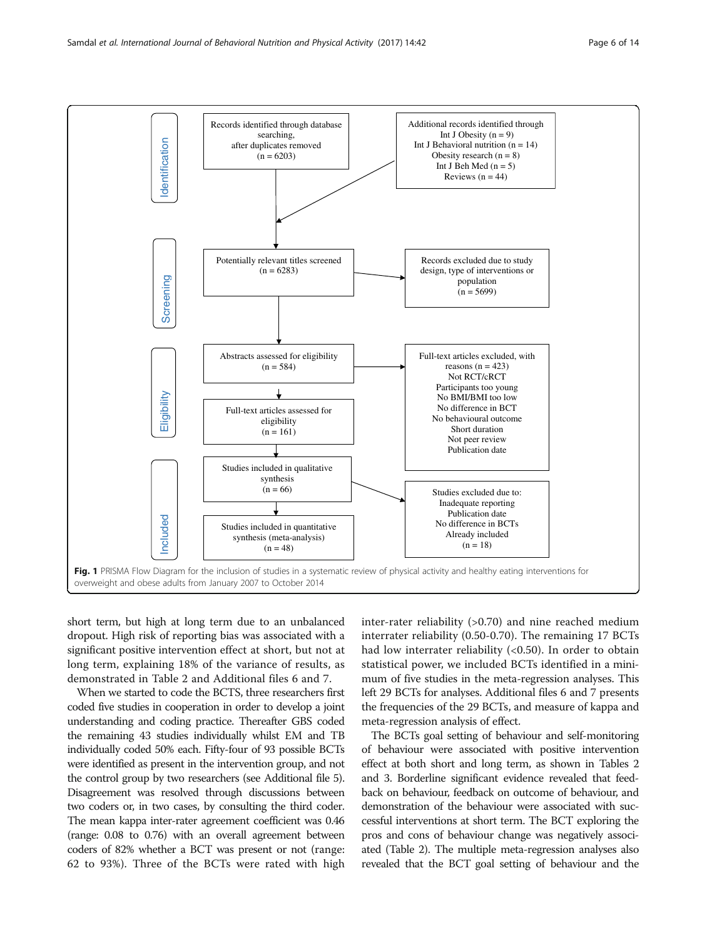<span id="page-5-0"></span>

short term, but high at long term due to an unbalanced dropout. High risk of reporting bias was associated with a significant positive intervention effect at short, but not at long term, explaining 18% of the variance of results, as demonstrated in Table [2](#page-7-0) and Additional files [6](#page-10-0) and [7](#page-10-0).

When we started to code the BCTS, three researchers first coded five studies in cooperation in order to develop a joint understanding and coding practice. Thereafter GBS coded the remaining 43 studies individually whilst EM and TB individually coded 50% each. Fifty-four of 93 possible BCTs were identified as present in the intervention group, and not the control group by two researchers (see Additional file [5](#page-10-0)). Disagreement was resolved through discussions between two coders or, in two cases, by consulting the third coder. The mean kappa inter-rater agreement coefficient was 0.46 (range: 0.08 to 0.76) with an overall agreement between coders of 82% whether a BCT was present or not (range: 62 to 93%). Three of the BCTs were rated with high

inter-rater reliability (>0.70) and nine reached medium interrater reliability (0.50-0.70). The remaining 17 BCTs had low interrater reliability  $( $0.50$ ). In order to obtain$ statistical power, we included BCTs identified in a minimum of five studies in the meta-regression analyses. This left 29 BCTs for analyses. Additional files [6](#page-10-0) and [7](#page-10-0) presents the frequencies of the 29 BCTs, and measure of kappa and meta-regression analysis of effect.

The BCTs goal setting of behaviour and self-monitoring of behaviour were associated with positive intervention effect at both short and long term, as shown in Tables [2](#page-7-0) and [3](#page-8-0). Borderline significant evidence revealed that feedback on behaviour, feedback on outcome of behaviour, and demonstration of the behaviour were associated with successful interventions at short term. The BCT exploring the pros and cons of behaviour change was negatively associated (Table [2\)](#page-7-0). The multiple meta-regression analyses also revealed that the BCT goal setting of behaviour and the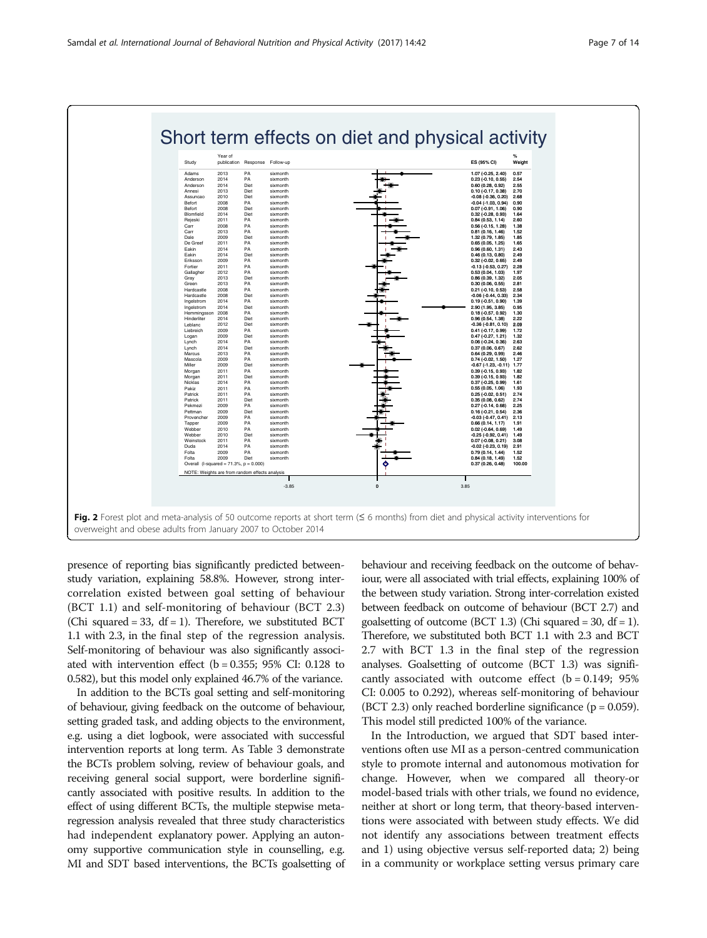<span id="page-6-0"></span>

presence of reporting bias significantly predicted betweenstudy variation, explaining 58.8%. However, strong intercorrelation existed between goal setting of behaviour (BCT 1.1) and self-monitoring of behaviour (BCT 2.3) (Chi squared  $= 33$ , df  $= 1$ ). Therefore, we substituted BCT 1.1 with 2.3, in the final step of the regression analysis. Self-monitoring of behaviour was also significantly associated with intervention effect ( $b = 0.355$ ; 95% CI: 0.128 to 0.582), but this model only explained 46.7% of the variance.

In addition to the BCTs goal setting and self-monitoring of behaviour, giving feedback on the outcome of behaviour, setting graded task, and adding objects to the environment, e.g. using a diet logbook, were associated with successful intervention reports at long term. As Table [3](#page-8-0) demonstrate the BCTs problem solving, review of behaviour goals, and receiving general social support, were borderline significantly associated with positive results. In addition to the effect of using different BCTs, the multiple stepwise metaregression analysis revealed that three study characteristics had independent explanatory power. Applying an autonomy supportive communication style in counselling, e.g. MI and SDT based interventions, the BCTs goalsetting of behaviour and receiving feedback on the outcome of behaviour, were all associated with trial effects, explaining 100% of the between study variation. Strong inter-correlation existed between feedback on outcome of behaviour (BCT 2.7) and goalsetting of outcome (BCT 1.3) (Chi squared = 30, df = 1). Therefore, we substituted both BCT 1.1 with 2.3 and BCT 2.7 with BCT 1.3 in the final step of the regression analyses. Goalsetting of outcome (BCT 1.3) was significantly associated with outcome effect  $(b = 0.149; 95\%)$ CI: 0.005 to 0.292), whereas self-monitoring of behaviour (BCT 2.3) only reached borderline significance ( $p = 0.059$ ). This model still predicted 100% of the variance.

In the Introduction, we argued that SDT based interventions often use MI as a person-centred communication style to promote internal and autonomous motivation for change. However, when we compared all theory-or model-based trials with other trials, we found no evidence, neither at short or long term, that theory-based interventions were associated with between study effects. We did not identify any associations between treatment effects and 1) using objective versus self-reported data; 2) being in a community or workplace setting versus primary care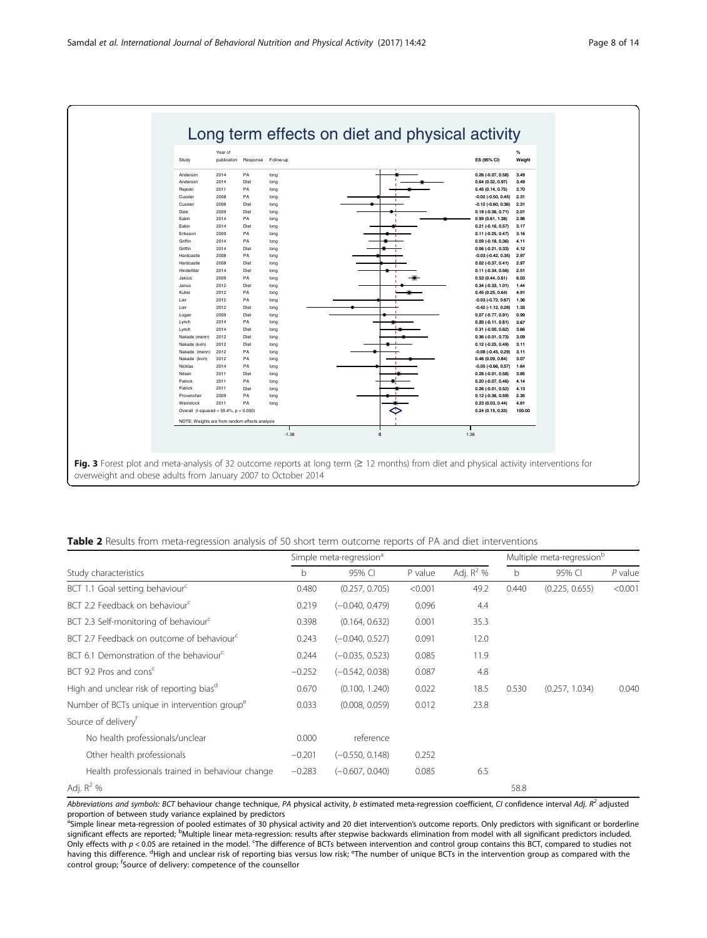<span id="page-7-0"></span>

| Table 2 Results from meta-regression analysis of 50 short term outcome reports of PA and diet interventions |  |
|-------------------------------------------------------------------------------------------------------------|--|
|-------------------------------------------------------------------------------------------------------------|--|

|                                                          | Simple meta-regression <sup>a</sup> |                   |         |              | Multiple meta-regression <sup>b</sup> |                |           |
|----------------------------------------------------------|-------------------------------------|-------------------|---------|--------------|---------------------------------------|----------------|-----------|
| Study characteristics                                    | b                                   | 95% CI            | P value | Adj. $R^2$ % | b                                     | 95% CI         | $P$ value |
| BCT 1.1 Goal setting behaviour <sup>c</sup>              | 0.480                               | (0.257, 0.705)    | < 0.001 | 49.2         | 0.440                                 | (0.225, 0.655) | < 0.001   |
| BCT 2.2 Feedback on behaviour <sup>c</sup>               | 0.219                               | $(-0.040, 0.479)$ | 0.096   | 4.4          |                                       |                |           |
| BCT 2.3 Self-monitoring of behaviour <sup>c</sup>        | 0.398                               | (0.164, 0.632)    | 0.001   | 35.3         |                                       |                |           |
| BCT 2.7 Feedback on outcome of behaviour <sup>c</sup>    | 0.243                               | $(-0.040, 0.527)$ | 0.091   | 12.0         |                                       |                |           |
| BCT 6.1 Demonstration of the behaviour <sup>c</sup>      | 0.244                               | $(-0.035, 0.523)$ | 0.085   | 11.9         |                                       |                |           |
| BCT 9.2 Pros and cons <sup>c</sup>                       | $-0.252$                            | $(-0.542, 0.038)$ | 0.087   | 4.8          |                                       |                |           |
| High and unclear risk of reporting bias <sup>d</sup>     | 0.670                               | (0.100, 1.240)    | 0.022   | 18.5         | 0.530                                 | (0.257, 1.034) | 0.040     |
| Number of BCTs unique in intervention group <sup>e</sup> | 0.033                               | (0.008, 0.059)    | 0.012   | 23.8         |                                       |                |           |
| Source of delivery <sup>t</sup>                          |                                     |                   |         |              |                                       |                |           |
| No health professionals/unclear                          | 0.000                               | reference         |         |              |                                       |                |           |
| Other health professionals                               | $-0.201$                            | $(-0.550, 0.148)$ | 0.252   |              |                                       |                |           |
| Health professionals trained in behaviour change         | $-0.283$                            | $(-0.607, 0.040)$ | 0.085   | 6.5          |                                       |                |           |
| Adj. $R^2$ %                                             |                                     |                   |         |              | 58.8                                  |                |           |

Abbreviations and symbols: BCT behaviour change technique, PA physical activity, b estimated meta-regression coefficient, CI confidence interval Adj. R<sup>2</sup> adjusted proportion of between study variance explained by predictors

<sup>a</sup>Simple linear meta-regression of pooled estimates of 30 physical activity and 20 diet intervention's outcome reports. Only predictors with significant or borderline significant effects are reported; <sup>b</sup>Multiple linear meta-regression: results after stepwise backwards elimination from model with all significant predictors included. Only effects with  $p < 0.05$  are retained in the model. The difference of BCTs between intervention and control group contains this BCT, compared to studies not having this difference. <sup>d</sup>High and unclear risk of reporting bias versus low risk; <sup>e</sup>The number of unique BCTs in the intervention group as compared with the control group; <sup>f</sup> Source of delivery: competence of the counsellor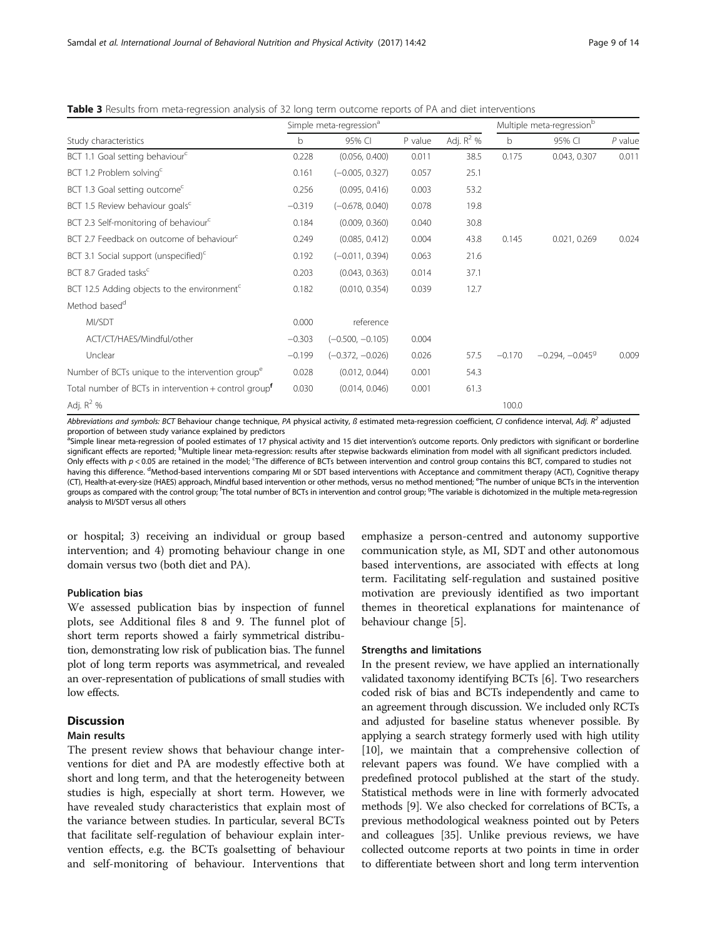|                                                                     | Simple meta-regression <sup>a</sup> |                    |         | Multiple meta-regression <sup>b</sup> |             |                               |           |
|---------------------------------------------------------------------|-------------------------------------|--------------------|---------|---------------------------------------|-------------|-------------------------------|-----------|
| Study characteristics                                               | b                                   | 95% CI             | P value | Adj. $R^2$ %                          | $\mathsf b$ | 95% CI                        | $P$ value |
| BCT 1.1 Goal setting behaviour <sup>c</sup>                         | 0.228                               | (0.056, 0.400)     | 0.011   | 38.5                                  | 0.175       | 0.043, 0.307                  | 0.011     |
| BCT 1.2 Problem solving <sup>c</sup>                                | 0.161                               | $(-0.005, 0.327)$  | 0.057   | 25.1                                  |             |                               |           |
| BCT 1.3 Goal setting outcome <sup>c</sup>                           | 0.256                               | (0.095, 0.416)     | 0.003   | 53.2                                  |             |                               |           |
| BCT 1.5 Review behaviour goals <sup>c</sup>                         | $-0.319$                            | $(-0.678, 0.040)$  | 0.078   | 19.8                                  |             |                               |           |
| BCT 2.3 Self-monitoring of behaviour <sup>c</sup>                   | 0.184                               | (0.009, 0.360)     | 0.040   | 30.8                                  |             |                               |           |
| BCT 2.7 Feedback on outcome of behaviour <sup>c</sup>               | 0.249                               | (0.085, 0.412)     | 0.004   | 43.8                                  | 0.145       | 0.021, 0.269                  | 0.024     |
| BCT 3.1 Social support (unspecified) $c$                            | 0.192                               | $(-0.011, 0.394)$  | 0.063   | 21.6                                  |             |                               |           |
| BCT 8.7 Graded tasks <sup>c</sup>                                   | 0.203                               | (0.043, 0.363)     | 0.014   | 37.1                                  |             |                               |           |
| BCT 12.5 Adding objects to the environment <sup>c</sup>             | 0.182                               | (0.010, 0.354)     | 0.039   | 12.7                                  |             |                               |           |
| Method based <sup>d</sup>                                           |                                     |                    |         |                                       |             |                               |           |
| MI/SDT                                                              | 0.000                               | reference          |         |                                       |             |                               |           |
| ACT/CT/HAES/Mindful/other                                           | $-0.303$                            | $(-0.500, -0.105)$ | 0.004   |                                       |             |                               |           |
| Unclear                                                             | $-0.199$                            | $(-0.372, -0.026)$ | 0.026   | 57.5                                  | $-0.170$    | $-0.294, -0.045$ <sup>9</sup> | 0.009     |
| Number of BCTs unique to the intervention group <sup>e</sup>        | 0.028                               | (0.012, 0.044)     | 0.001   | 54.3                                  |             |                               |           |
| Total number of BCTs in intervention $+$ control group <sup>t</sup> | 0.030                               | (0.014, 0.046)     | 0.001   | 61.3                                  |             |                               |           |
| Adj. $R^2$ %                                                        |                                     |                    |         |                                       | 100.0       |                               |           |

<span id="page-8-0"></span>Table 3 Results from meta-regression analysis of 32 long term outcome reports of PA and diet interventions

Abbreviations and symbols: BCT Behaviour change technique, PA physical activity, ß estimated meta-regression coefficient, CI confidence interval, Adj. R<sup>2</sup> adjusted proportion of between study variance explained by predictors

<sup>a</sup>Simple linear meta-regression of pooled estimates of 17 physical activity and 15 diet intervention's outcome reports. Only predictors with significant or borderline significant effects are reported; <sup>b</sup>Multiple linear meta-regression: results after stepwise backwards elimination from model with all significant predictors included. Only effects with  $p < 0.05$  are retained in the model; <sup>c</sup>The difference of BCTs between intervention and control group contains this BCT, compared to studies not having this difference. <sup>d</sup>Method-based interventions comparing MI or SDT based interventions with Acceptance and commitment therapy (ACT), Cognitive therapy (CT), Health-at-every-size (HAES) approach, Mindful based intervention or other methods, versus no method mentioned; <sup>e</sup> The number of unique BCTs in the intervention groups as compared with the control group; <sup>f</sup>The total number of BCTs in intervention and control group; <sup>9</sup>The variable is dichotomized in the multiple meta-regression analysis to MI/SDT versus all others

or hospital; 3) receiving an individual or group based intervention; and 4) promoting behaviour change in one domain versus two (both diet and PA).

#### Publication bias

We assessed publication bias by inspection of funnel plots, see Additional files [8](#page-10-0) and [9.](#page-10-0) The funnel plot of short term reports showed a fairly symmetrical distribution, demonstrating low risk of publication bias. The funnel plot of long term reports was asymmetrical, and revealed an over-representation of publications of small studies with low effects.

#### Discussion

#### Main results

The present review shows that behaviour change interventions for diet and PA are modestly effective both at short and long term, and that the heterogeneity between studies is high, especially at short term. However, we have revealed study characteristics that explain most of the variance between studies. In particular, several BCTs that facilitate self-regulation of behaviour explain intervention effects, e.g. the BCTs goalsetting of behaviour and self-monitoring of behaviour. Interventions that

emphasize a person-centred and autonomy supportive communication style, as MI, SDT and other autonomous based interventions, are associated with effects at long term. Facilitating self-regulation and sustained positive motivation are previously identified as two important themes in theoretical explanations for maintenance of behaviour change [[5\]](#page-11-0).

#### Strengths and limitations

In the present review, we have applied an internationally validated taxonomy identifying BCTs [\[6](#page-11-0)]. Two researchers coded risk of bias and BCTs independently and came to an agreement through discussion. We included only RCTs and adjusted for baseline status whenever possible. By applying a search strategy formerly used with high utility [[10](#page-11-0)], we maintain that a comprehensive collection of relevant papers was found. We have complied with a predefined protocol published at the start of the study. Statistical methods were in line with formerly advocated methods [[9](#page-11-0)]. We also checked for correlations of BCTs, a previous methodological weakness pointed out by Peters and colleagues [\[35](#page-11-0)]. Unlike previous reviews, we have collected outcome reports at two points in time in order to differentiate between short and long term intervention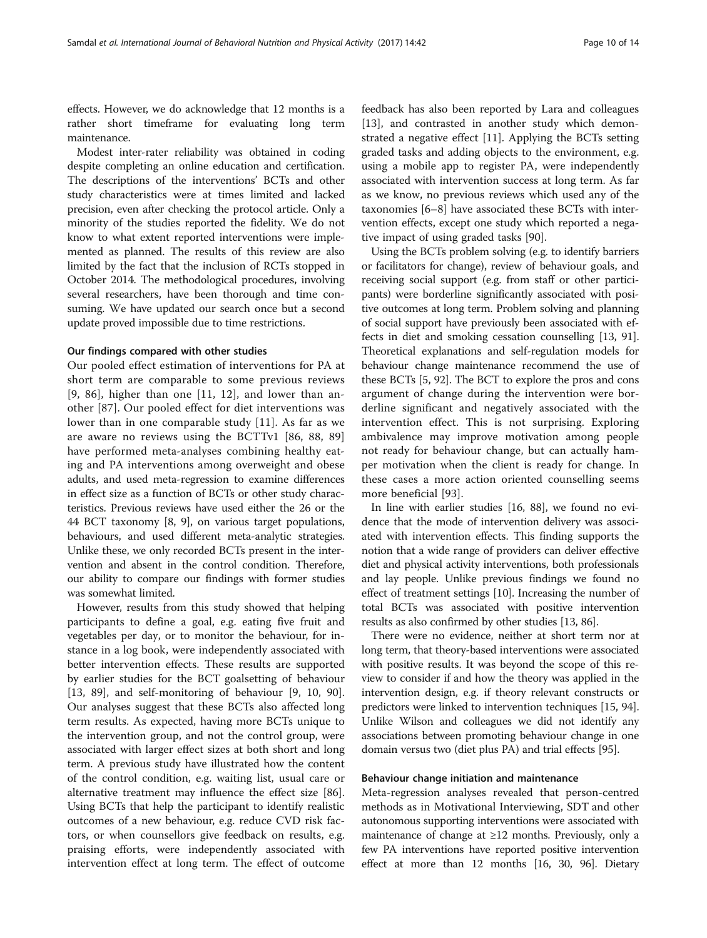effects. However, we do acknowledge that 12 months is a rather short timeframe for evaluating long term maintenance.

Modest inter-rater reliability was obtained in coding despite completing an online education and certification. The descriptions of the interventions' BCTs and other study characteristics were at times limited and lacked precision, even after checking the protocol article. Only a minority of the studies reported the fidelity. We do not know to what extent reported interventions were implemented as planned. The results of this review are also limited by the fact that the inclusion of RCTs stopped in October 2014. The methodological procedures, involving several researchers, have been thorough and time consuming. We have updated our search once but a second update proved impossible due to time restrictions.

#### Our findings compared with other studies

Our pooled effect estimation of interventions for PA at short term are comparable to some previous reviews [[9](#page-11-0), [86\]](#page-13-0), higher than one [\[11](#page-11-0), [12](#page-11-0)], and lower than another [\[87\]](#page-13-0). Our pooled effect for diet interventions was lower than in one comparable study [\[11\]](#page-11-0). As far as we are aware no reviews using the BCTTv1 [[86](#page-13-0), [88](#page-13-0), [89](#page-13-0)] have performed meta-analyses combining healthy eating and PA interventions among overweight and obese adults, and used meta-regression to examine differences in effect size as a function of BCTs or other study characteristics. Previous reviews have used either the 26 or the 44 BCT taxonomy [\[8](#page-11-0), [9](#page-11-0)], on various target populations, behaviours, and used different meta-analytic strategies. Unlike these, we only recorded BCTs present in the intervention and absent in the control condition. Therefore, our ability to compare our findings with former studies was somewhat limited.

However, results from this study showed that helping participants to define a goal, e.g. eating five fruit and vegetables per day, or to monitor the behaviour, for instance in a log book, were independently associated with better intervention effects. These results are supported by earlier studies for the BCT goalsetting of behaviour [[13,](#page-11-0) [89\]](#page-13-0), and self-monitoring of behaviour [[9](#page-11-0), [10](#page-11-0), [90](#page-13-0)]. Our analyses suggest that these BCTs also affected long term results. As expected, having more BCTs unique to the intervention group, and not the control group, were associated with larger effect sizes at both short and long term. A previous study have illustrated how the content of the control condition, e.g. waiting list, usual care or alternative treatment may influence the effect size [\[86](#page-13-0)]. Using BCTs that help the participant to identify realistic outcomes of a new behaviour, e.g. reduce CVD risk factors, or when counsellors give feedback on results, e.g. praising efforts, were independently associated with intervention effect at long term. The effect of outcome

feedback has also been reported by Lara and colleagues [[13\]](#page-11-0), and contrasted in another study which demonstrated a negative effect [[11\]](#page-11-0). Applying the BCTs setting graded tasks and adding objects to the environment, e.g. using a mobile app to register PA, were independently associated with intervention success at long term. As far as we know, no previous reviews which used any of the taxonomies [[6](#page-11-0)–[8\]](#page-11-0) have associated these BCTs with intervention effects, except one study which reported a negative impact of using graded tasks [[90\]](#page-13-0).

Using the BCTs problem solving (e.g. to identify barriers or facilitators for change), review of behaviour goals, and receiving social support (e.g. from staff or other participants) were borderline significantly associated with positive outcomes at long term. Problem solving and planning of social support have previously been associated with effects in diet and smoking cessation counselling [[13,](#page-11-0) [91](#page-13-0)]. Theoretical explanations and self-regulation models for behaviour change maintenance recommend the use of these BCTs [\[5,](#page-11-0) [92](#page-13-0)]. The BCT to explore the pros and cons argument of change during the intervention were borderline significant and negatively associated with the intervention effect. This is not surprising. Exploring ambivalence may improve motivation among people not ready for behaviour change, but can actually hamper motivation when the client is ready for change. In these cases a more action oriented counselling seems more beneficial [\[93](#page-13-0)].

In line with earlier studies [[16](#page-11-0), [88](#page-13-0)], we found no evidence that the mode of intervention delivery was associated with intervention effects. This finding supports the notion that a wide range of providers can deliver effective diet and physical activity interventions, both professionals and lay people. Unlike previous findings we found no effect of treatment settings [[10](#page-11-0)]. Increasing the number of total BCTs was associated with positive intervention results as also confirmed by other studies [\[13,](#page-11-0) [86](#page-13-0)].

There were no evidence, neither at short term nor at long term, that theory-based interventions were associated with positive results. It was beyond the scope of this review to consider if and how the theory was applied in the intervention design, e.g. if theory relevant constructs or predictors were linked to intervention techniques [\[15,](#page-11-0) [94](#page-13-0)]. Unlike Wilson and colleagues we did not identify any associations between promoting behaviour change in one domain versus two (diet plus PA) and trial effects [\[95\]](#page-13-0).

#### Behaviour change initiation and maintenance

Meta-regression analyses revealed that person-centred methods as in Motivational Interviewing, SDT and other autonomous supporting interventions were associated with maintenance of change at ≥12 months. Previously, only a few PA interventions have reported positive intervention effect at more than 12 months [[16](#page-11-0), [30](#page-11-0), [96](#page-13-0)]. Dietary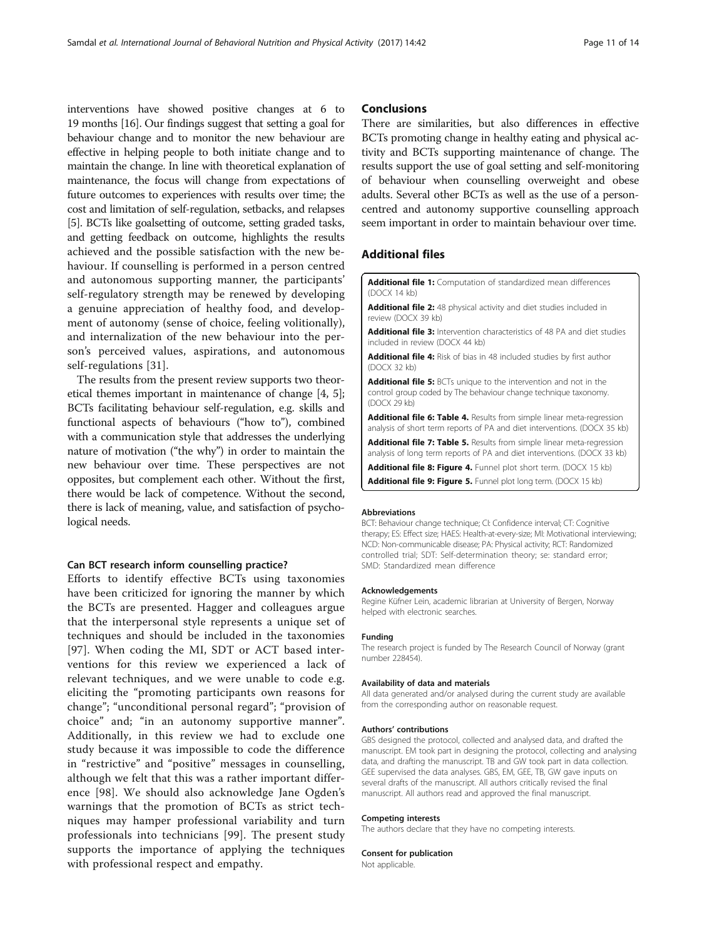<span id="page-10-0"></span>interventions have showed positive changes at 6 to 19 months [[16](#page-11-0)]. Our findings suggest that setting a goal for behaviour change and to monitor the new behaviour are effective in helping people to both initiate change and to maintain the change. In line with theoretical explanation of maintenance, the focus will change from expectations of future outcomes to experiences with results over time; the cost and limitation of self-regulation, setbacks, and relapses [[5](#page-11-0)]. BCTs like goalsetting of outcome, setting graded tasks, and getting feedback on outcome, highlights the results achieved and the possible satisfaction with the new behaviour. If counselling is performed in a person centred and autonomous supporting manner, the participants' self-regulatory strength may be renewed by developing a genuine appreciation of healthy food, and development of autonomy (sense of choice, feeling volitionally), and internalization of the new behaviour into the person's perceived values, aspirations, and autonomous self-regulations [[31\]](#page-11-0).

The results from the present review supports two theoretical themes important in maintenance of change [\[4, 5](#page-11-0)]; BCTs facilitating behaviour self-regulation, e.g. skills and functional aspects of behaviours ("how to"), combined with a communication style that addresses the underlying nature of motivation ("the why") in order to maintain the new behaviour over time. These perspectives are not opposites, but complement each other. Without the first, there would be lack of competence. Without the second, there is lack of meaning, value, and satisfaction of psychological needs.

#### Can BCT research inform counselling practice?

Efforts to identify effective BCTs using taxonomies have been criticized for ignoring the manner by which the BCTs are presented. Hagger and colleagues argue that the interpersonal style represents a unique set of techniques and should be included in the taxonomies [[97](#page-13-0)]. When coding the MI, SDT or ACT based interventions for this review we experienced a lack of relevant techniques, and we were unable to code e.g. eliciting the "promoting participants own reasons for change"; "unconditional personal regard"; "provision of choice" and; "in an autonomy supportive manner". Additionally, in this review we had to exclude one study because it was impossible to code the difference in "restrictive" and "positive" messages in counselling, although we felt that this was a rather important difference [[98\]](#page-13-0). We should also acknowledge Jane Ogden's warnings that the promotion of BCTs as strict techniques may hamper professional variability and turn professionals into technicians [[99\]](#page-13-0). The present study supports the importance of applying the techniques with professional respect and empathy.

#### Conclusions

There are similarities, but also differences in effective BCTs promoting change in healthy eating and physical activity and BCTs supporting maintenance of change. The results support the use of goal setting and self-monitoring of behaviour when counselling overweight and obese adults. Several other BCTs as well as the use of a personcentred and autonomy supportive counselling approach seem important in order to maintain behaviour over time.

#### Additional files

[Additional file 1:](dx.doi.org/10.1186/s12966-017-0494-y) Computation of standardized mean differences (DOCX 14 kb)

[Additional file 2:](dx.doi.org/10.1186/s12966-017-0494-y) 48 physical activity and diet studies included in review (DOCX 39 kb)

[Additional file 3:](dx.doi.org/10.1186/s12966-017-0494-y) Intervention characteristics of 48 PA and diet studies included in review (DOCX 44 kb)

[Additional file 4:](dx.doi.org/10.1186/s12966-017-0494-y) Risk of bias in 48 included studies by first author (DOCX 32 kb)

[Additional file 5:](dx.doi.org/10.1186/s12966-017-0494-y) BCTs unique to the intervention and not in the control group coded by The behaviour change technique taxonomy. (DOCX 29 kb)

[Additional file 6: Table 4.](dx.doi.org/10.1186/s12966-017-0494-y) Results from simple linear meta-regression analysis of short term reports of PA and diet interventions. (DOCX 35 kb)

[Additional file 7: Table 5.](dx.doi.org/10.1186/s12966-017-0494-y) Results from simple linear meta-regression analysis of long term reports of PA and diet interventions. (DOCX 33 kb)

[Additional file 8: Figure 4.](dx.doi.org/10.1186/s12966-017-0494-y) Funnel plot short term. (DOCX 15 kb)

[Additional file 9: Figure 5.](dx.doi.org/10.1186/s12966-017-0494-y) Funnel plot long term. (DOCX 15 kb)

#### Abbreviations

BCT: Behaviour change technique; CI: Confidence interval; CT: Cognitive therapy; ES: Effect size; HAES: Health-at-every-size; MI: Motivational interviewing; NCD: Non-communicable disease; PA: Physical activity; RCT: Randomized controlled trial; SDT: Self-determination theory; se: standard error; SMD: Standardized mean difference

#### Acknowledgements

Regine Küfner Lein, academic librarian at University of Bergen, Norway helped with electronic searches.

#### Funding

The research project is funded by The Research Council of Norway (grant number 228454).

#### Availability of data and materials

All data generated and/or analysed during the current study are available from the corresponding author on reasonable request.

#### Authors' contributions

GBS designed the protocol, collected and analysed data, and drafted the manuscript. EM took part in designing the protocol, collecting and analysing data, and drafting the manuscript. TB and GW took part in data collection. GEE supervised the data analyses. GBS, EM, GEE, TB, GW gave inputs on several drafts of the manuscript. All authors critically revised the final manuscript. All authors read and approved the final manuscript.

#### Competing interests

The authors declare that they have no competing interests.

#### Consent for publication

Not applicable.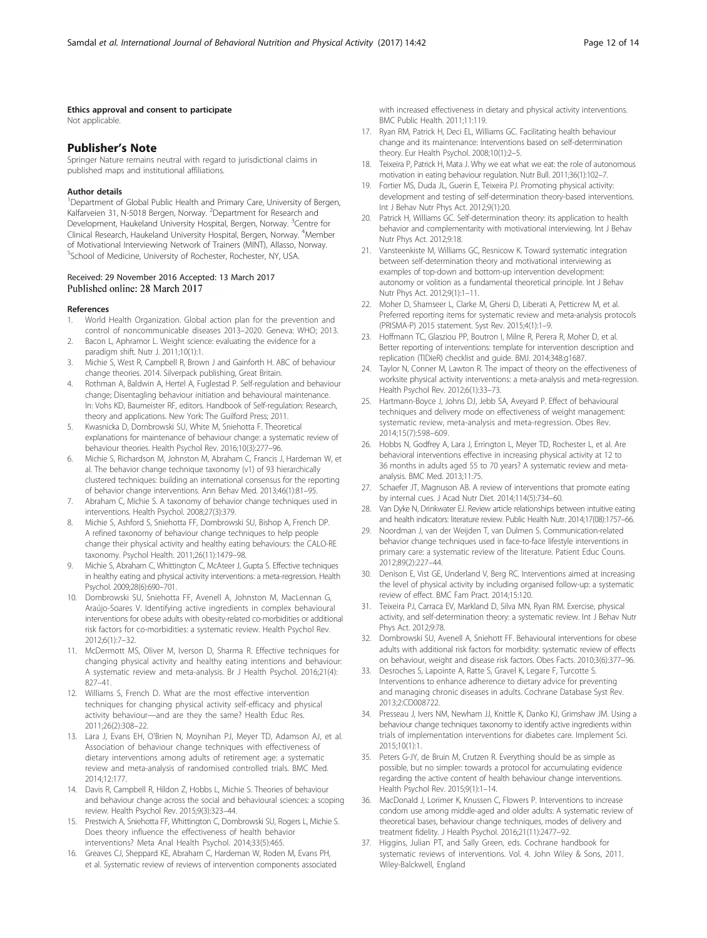#### <span id="page-11-0"></span>Ethics approval and consent to participate

Not applicable.

#### Publisher's Note

Springer Nature remains neutral with regard to jurisdictional claims in published maps and institutional affiliations.

#### Author details

<sup>1</sup>Department of Global Public Health and Primary Care, University of Bergen, Kalfarveien 31, N-5018 Bergen, Norway. <sup>2</sup>Department for Research and Development, Haukeland University Hospital, Bergen, Norway. <sup>3</sup>Centre for Clinical Research, Haukeland University Hospital, Bergen, Norway. <sup>4</sup>Member of Motivational Interviewing Network of Trainers (MINT), Allasso, Norway. 5 School of Medicine, University of Rochester, Rochester, NY, USA.

#### Received: 29 November 2016 Accepted: 13 March 2017 Published online: 28 March 2017

#### References

- 1. World Health Organization. Global action plan for the prevention and control of noncommunicable diseases 2013–2020. Geneva: WHO; 2013.
- 2. Bacon L, Aphramor L. Weight science: evaluating the evidence for a paradigm shift. Nutr J. 2011;10(1):1.
- 3. Michie S, West R, Campbell R, Brown J and Gainforth H. ABC of behaviour change theories. 2014. Silverpack publishing, Great Britain.
- 4. Rothman A, Baldwin A, Hertel A, Fuglestad P. Self-regulation and behaviour change; Disentagling behaviour initiation and behavioural maintenance. In: Vohs KD, Baumeister RF, editors. Handbook of Self-regulation: Research, theory and applications. New York: The Guilford Press; 2011.
- 5. Kwasnicka D, Dombrowski SU, White M, Sniehotta F. Theoretical explanations for maintenance of behaviour change: a systematic review of behaviour theories. Health Psychol Rev. 2016;10(3):277–96.
- 6. Michie S, Richardson M, Johnston M, Abraham C, Francis J, Hardeman W, et al. The behavior change technique taxonomy (v1) of 93 hierarchically clustered techniques: building an international consensus for the reporting of behavior change interventions. Ann Behav Med. 2013;46(1):81–95.
- 7. Abraham C, Michie S. A taxonomy of behavior change techniques used in interventions. Health Psychol. 2008;27(3):379.
- 8. Michie S, Ashford S, Sniehotta FF, Dombrowski SU, Bishop A, French DP. A refined taxonomy of behaviour change techniques to help people change their physical activity and healthy eating behaviours: the CALO-RE taxonomy. Psychol Health. 2011;26(11):1479–98.
- 9. Michie S, Abraham C, Whittington C, McAteer J, Gupta S. Effective techniques in healthy eating and physical activity interventions: a meta-regression. Health Psychol. 2009;28(6):690–701.
- 10. Dombrowski SU, Sniehotta FF, Avenell A, Johnston M, MacLennan G, Araújo-Soares V. Identifying active ingredients in complex behavioural interventions for obese adults with obesity-related co-morbidities or additional risk factors for co-morbidities: a systematic review. Health Psychol Rev. 2012;6(1):7–32.
- 11. McDermott MS, Oliver M, Iverson D, Sharma R. Effective techniques for changing physical activity and healthy eating intentions and behaviour: A systematic review and meta-analysis. Br J Health Psychol. 2016;21(4): 827–41.
- 12. Williams S, French D. What are the most effective intervention techniques for changing physical activity self-efficacy and physical activity behaviour—and are they the same? Health Educ Res. 2011;26(2):308–22.
- 13. Lara J, Evans EH, O'Brien N, Moynihan PJ, Meyer TD, Adamson AJ, et al. Association of behaviour change techniques with effectiveness of dietary interventions among adults of retirement age: a systematic review and meta-analysis of randomised controlled trials. BMC Med. 2014;12:177.
- 14. Davis R, Campbell R, Hildon Z, Hobbs L, Michie S. Theories of behaviour and behaviour change across the social and behavioural sciences: a scoping review. Health Psychol Rev. 2015;9(3):323–44.
- 15. Prestwich A, Sniehotta FF, Whittington C, Dombrowski SU, Rogers L, Michie S. Does theory influence the effectiveness of health behavior interventions? Meta Anal Health Psychol. 2014;33(5):465.
- 16. Greaves CJ, Sheppard KE, Abraham C, Hardeman W, Roden M, Evans PH, et al. Systematic review of reviews of intervention components associated

with increased effectiveness in dietary and physical activity interventions. BMC Public Health. 2011;11:119.

- 17. Ryan RM, Patrick H, Deci EL, Williams GC. Facilitating health behaviour change and its maintenance: Interventions based on self-determination theory. Eur Health Psychol. 2008;10(1):2–5.
- 18. Teixeira P, Patrick H, Mata J. Why we eat what we eat: the role of autonomous motivation in eating behaviour regulation. Nutr Bull. 2011;36(1):102–7.
- 19. Fortier MS, Duda JL, Guerin E, Teixeira PJ. Promoting physical activity: development and testing of self-determination theory-based interventions. Int J Behav Nutr Phys Act. 2012;9(1):20.
- 20. Patrick H, Williams GC. Self-determination theory: its application to health behavior and complementarity with motivational interviewing. Int J Behav Nutr Phys Act. 2012;9:18.
- 21. Vansteenkiste M, Williams GC, Resnicow K. Toward systematic integration between self-determination theory and motivational interviewing as examples of top-down and bottom-up intervention development: autonomy or volition as a fundamental theoretical principle. Int J Behav Nutr Phys Act. 2012;9(1):1–11.
- 22. Moher D, Shamseer L, Clarke M, Ghersi D, Liberati A, Petticrew M, et al. Preferred reporting items for systematic review and meta-analysis protocols (PRISMA-P) 2015 statement. Syst Rev. 2015;4(1):1–9.
- 23. Hoffmann TC, Glasziou PP, Boutron I, Milne R, Perera R, Moher D, et al. Better reporting of interventions: template for intervention description and replication (TIDieR) checklist and guide. BMJ. 2014;348:g1687.
- 24. Taylor N, Conner M, Lawton R. The impact of theory on the effectiveness of worksite physical activity interventions: a meta-analysis and meta-regression. Health Psychol Rev. 2012;6(1):33–73.
- 25. Hartmann-Boyce J, Johns DJ, Jebb SA, Aveyard P. Effect of behavioural techniques and delivery mode on effectiveness of weight management: systematic review, meta-analysis and meta-regression. Obes Rev. 2014;15(7):598–609.
- 26. Hobbs N, Godfrey A, Lara J, Errington L, Meyer TD, Rochester L, et al. Are behavioral interventions effective in increasing physical activity at 12 to 36 months in adults aged 55 to 70 years? A systematic review and metaanalysis. BMC Med. 2013;11:75.
- 27. Schaefer JT, Magnuson AB. A review of interventions that promote eating by internal cues. J Acad Nutr Diet. 2014;114(5):734–60.
- 28. Van Dyke N, Drinkwater EJ. Review article relationships between intuitive eating and health indicators: literature review. Public Health Nutr. 2014;17(08):1757–66.
- 29. Noordman J, van der Weijden T, van Dulmen S. Communication-related behavior change techniques used in face-to-face lifestyle interventions in primary care: a systematic review of the literature. Patient Educ Couns. 2012;89(2):227–44.
- 30. Denison E, Vist GE, Underland V, Berg RC. Interventions aimed at increasing the level of physical activity by including organised follow-up: a systematic review of effect. BMC Fam Pract. 2014;15:120.
- 31. Teixeira PJ, Carraca EV, Markland D, Silva MN, Ryan RM. Exercise, physical activity, and self-determination theory: a systematic review. Int J Behav Nutr Phys Act. 2012;9:78.
- 32. Dombrowski SU, Avenell A, Sniehott FF. Behavioural interventions for obese adults with additional risk factors for morbidity: systematic review of effects on behaviour, weight and disease risk factors. Obes Facts. 2010;3(6):377–96.
- 33. Desroches S, Lapointe A, Ratte S, Gravel K, Legare F, Turcotte S. Interventions to enhance adherence to dietary advice for preventing and managing chronic diseases in adults. Cochrane Database Syst Rev. 2013;2:CD008722.
- 34. Presseau J, Ivers NM, Newham JJ, Knittle K, Danko KJ, Grimshaw JM. Using a behaviour change techniques taxonomy to identify active ingredients within trials of implementation interventions for diabetes care. Implement Sci. 2015;10(1):1.
- 35. Peters G-JY, de Bruin M, Crutzen R. Everything should be as simple as possible, but no simpler: towards a protocol for accumulating evidence regarding the active content of health behaviour change interventions. Health Psychol Rev. 2015;9(1):1–14.
- 36. MacDonald J, Lorimer K, Knussen C, Flowers P. Interventions to increase condom use among middle-aged and older adults: A systematic review of theoretical bases, behaviour change techniques, modes of delivery and treatment fidelity. J Health Psychol. 2016;21(11):2477–92.
- 37. Higgins, Julian PT, and Sally Green, eds. Cochrane handbook for systematic reviews of interventions. Vol. 4. John Wiley & Sons, 2011. Wiley-Balckwell, England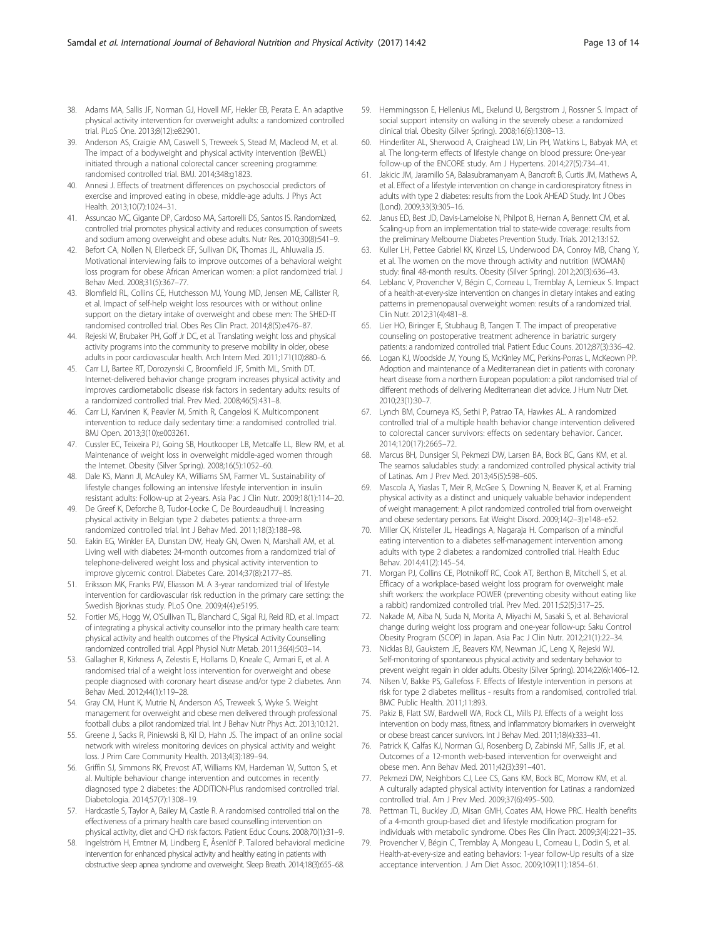- <span id="page-12-0"></span>38. Adams MA, Sallis JF, Norman GJ, Hovell MF, Hekler EB, Perata E. An adaptive physical activity intervention for overweight adults: a randomized controlled trial. PLoS One. 2013;8(12):e82901.
- 39. Anderson AS, Craigie AM, Caswell S, Treweek S, Stead M, Macleod M, et al. The impact of a bodyweight and physical activity intervention (BeWEL) initiated through a national colorectal cancer screening programme: randomised controlled trial. BMJ. 2014;348:g1823.
- 40. Annesi J. Effects of treatment differences on psychosocial predictors of exercise and improved eating in obese, middle-age adults. J Phys Act Health. 2013;10(7):1024–31.
- 41. Assuncao MC, Gigante DP, Cardoso MA, Sartorelli DS, Santos IS. Randomized, controlled trial promotes physical activity and reduces consumption of sweets and sodium among overweight and obese adults. Nutr Res. 2010;30(8):541–9.
- 42. Befort CA, Nollen N, Ellerbeck EF, Sullivan DK, Thomas JL, Ahluwalia JS. Motivational interviewing fails to improve outcomes of a behavioral weight loss program for obese African American women: a pilot randomized trial. J Behav Med. 2008;31(5):367–77.
- 43. Blomfield RL, Collins CE, Hutchesson MJ, Young MD, Jensen ME, Callister R, et al. Impact of self-help weight loss resources with or without online support on the dietary intake of overweight and obese men: The SHED-IT randomised controlled trial. Obes Res Clin Pract. 2014;8(5):e476–87.
- 44. Rejeski W, Brubaker PH, Goff Jr DC, et al. Translating weight loss and physical activity programs into the community to preserve mobility in older, obese adults in poor cardiovascular health. Arch Intern Med. 2011;171(10):880–6.
- 45. Carr LJ, Bartee RT, Dorozynski C, Broomfield JF, Smith ML, Smith DT. Internet-delivered behavior change program increases physical activity and improves cardiometabolic disease risk factors in sedentary adults: results of a randomized controlled trial. Prev Med. 2008;46(5):431–8.
- 46. Carr LJ, Karvinen K, Peavler M, Smith R, Cangelosi K. Multicomponent intervention to reduce daily sedentary time: a randomised controlled trial. BMJ Open. 2013;3(10):e003261.
- 47. Cussler EC, Teixeira PJ, Going SB, Houtkooper LB, Metcalfe LL, Blew RM, et al. Maintenance of weight loss in overweight middle-aged women through the Internet. Obesity (Silver Spring). 2008;16(5):1052–60.
- 48. Dale KS, Mann JI, McAuley KA, Williams SM, Farmer VL. Sustainability of lifestyle changes following an intensive lifestyle intervention in insulin resistant adults: Follow-up at 2-years. Asia Pac J Clin Nutr. 2009;18(1):114–20.
- 49. De Greef K, Deforche B, Tudor-Locke C, De Bourdeaudhuij I. Increasing physical activity in Belgian type 2 diabetes patients: a three-arm randomized controlled trial. Int J Behav Med. 2011;18(3):188–98.
- 50. Eakin EG, Winkler EA, Dunstan DW, Healy GN, Owen N, Marshall AM, et al. Living well with diabetes: 24-month outcomes from a randomized trial of telephone-delivered weight loss and physical activity intervention to improve glycemic control. Diabetes Care. 2014;37(8):2177–85.
- 51. Eriksson MK, Franks PW, Eliasson M. A 3-year randomized trial of lifestyle intervention for cardiovascular risk reduction in the primary care setting: the Swedish Bjorknas study. PLoS One. 2009;4(4):e5195.
- 52. Fortier MS, Hogg W, O'Sullivan TL, Blanchard C, Sigal RJ, Reid RD, et al. Impact of integrating a physical activity counsellor into the primary health care team: physical activity and health outcomes of the Physical Activity Counselling randomized controlled trial. Appl Physiol Nutr Metab. 2011;36(4):503–14.
- 53. Gallagher R, Kirkness A, Zelestis E, Hollams D, Kneale C, Armari E, et al. A randomised trial of a weight loss intervention for overweight and obese people diagnosed with coronary heart disease and/or type 2 diabetes. Ann Behav Med. 2012;44(1):119–28.
- 54. Gray CM, Hunt K, Mutrie N, Anderson AS, Treweek S, Wyke S. Weight management for overweight and obese men delivered through professional football clubs: a pilot randomized trial. Int J Behav Nutr Phys Act. 2013;10:121.
- 55. Greene J, Sacks R, Piniewski B, Kil D, Hahn JS. The impact of an online social network with wireless monitoring devices on physical activity and weight loss. J Prim Care Community Health. 2013;4(3):189–94.
- 56. Griffin SJ, Simmons RK, Prevost AT, Williams KM, Hardeman W, Sutton S, et al. Multiple behaviour change intervention and outcomes in recently diagnosed type 2 diabetes: the ADDITION-Plus randomised controlled trial. Diabetologia. 2014;57(7):1308–19.
- 57. Hardcastle S, Taylor A, Bailey M, Castle R. A randomised controlled trial on the effectiveness of a primary health care based counselling intervention on physical activity, diet and CHD risk factors. Patient Educ Couns. 2008;70(1):31–9.
- 58. Ingelström H, Emtner M, Lindberg E, Åsenlöf P. Tailored behavioral medicine intervention for enhanced physical activity and healthy eating in patients with obstructive sleep apnea syndrome and overweight. Sleep Breath. 2014;18(3):655–68.
- 59. Hemmingsson E, Hellenius ML, Ekelund U, Bergstrom J, Rossner S. Impact of social support intensity on walking in the severely obese: a randomized clinical trial. Obesity (Silver Spring). 2008;16(6):1308–13.
- 60. Hinderliter AL, Sherwood A, Craighead LW, Lin PH, Watkins L, Babyak MA, et al. The long-term effects of lifestyle change on blood pressure: One-year follow-up of the ENCORE study. Am J Hypertens. 2014;27(5):734–41.
- 61. Jakicic JM, Jaramillo SA, Balasubramanyam A, Bancroft B, Curtis JM, Mathews A, et al. Effect of a lifestyle intervention on change in cardiorespiratory fitness in adults with type 2 diabetes: results from the Look AHEAD Study. Int J Obes (Lond). 2009;33(3):305–16.
- 62. Janus ED, Best JD, Davis-Lameloise N, Philpot B, Hernan A, Bennett CM, et al. Scaling-up from an implementation trial to state-wide coverage: results from the preliminary Melbourne Diabetes Prevention Study. Trials. 2012;13:152.
- 63. Kuller LH, Pettee Gabriel KK, Kinzel LS, Underwood DA, Conroy MB, Chang Y, et al. The women on the move through activity and nutrition (WOMAN) study: final 48-month results. Obesity (Silver Spring). 2012;20(3):636–43.
- 64. Leblanc V, Provencher V, Bégin C, Corneau L, Tremblay A, Lemieux S. Impact of a health-at-every-size intervention on changes in dietary intakes and eating patterns in premenopausal overweight women: results of a randomized trial. Clin Nutr. 2012;31(4):481–8.
- 65. Lier HO, Biringer E, Stubhaug B, Tangen T. The impact of preoperative counseling on postoperative treatment adherence in bariatric surgery patients: a randomized controlled trial. Patient Educ Couns. 2012;87(3):336–42.
- 66. Logan KJ, Woodside JV, Young IS, McKinley MC, Perkins-Porras L, McKeown PP. Adoption and maintenance of a Mediterranean diet in patients with coronary heart disease from a northern European population: a pilot randomised trial of different methods of delivering Mediterranean diet advice. J Hum Nutr Diet. 2010;23(1):30–7.
- 67. Lynch BM, Courneya KS, Sethi P, Patrao TA, Hawkes AL. A randomized controlled trial of a multiple health behavior change intervention delivered to colorectal cancer survivors: effects on sedentary behavior. Cancer. 2014;120(17):2665–72.
- 68. Marcus BH, Dunsiger SI, Pekmezi DW, Larsen BA, Bock BC, Gans KM, et al. The seamos saludables study: a randomized controlled physical activity trial of Latinas. Am J Prev Med. 2013;45(5):598–605.
- 69. Mascola A, Yiaslas T, Meir R, McGee S, Downing N, Beaver K, et al. Framing physical activity as a distinct and uniquely valuable behavior independent of weight management: A pilot randomized controlled trial from overweight and obese sedentary persons. Eat Weight Disord. 2009;14(2–3):e148–e52.
- 70. Miller CK, Kristeller JL, Headings A, Nagaraja H. Comparison of a mindful eating intervention to a diabetes self-management intervention among adults with type 2 diabetes: a randomized controlled trial. Health Educ Behav. 2014;41(2):145–54.
- 71. Morgan PJ, Collins CE, Plotnikoff RC, Cook AT, Berthon B, Mitchell S, et al. Efficacy of a workplace-based weight loss program for overweight male shift workers: the workplace POWER (preventing obesity without eating like a rabbit) randomized controlled trial. Prev Med. 2011;52(5):317–25.
- 72. Nakade M, Aiba N, Suda N, Morita A, Miyachi M, Sasaki S, et al. Behavioral change during weight loss program and one-year follow-up: Saku Control Obesity Program (SCOP) in Japan. Asia Pac J Clin Nutr. 2012;21(1):22–34.
- 73. Nicklas BJ, Gaukstern JE, Beavers KM, Newman JC, Leng X, Rejeski WJ. Self-monitoring of spontaneous physical activity and sedentary behavior to prevent weight regain in older adults. Obesity (Silver Spring). 2014;22(6):1406–12.
- 74. Nilsen V, Bakke PS, Gallefoss F. Effects of lifestyle intervention in persons at risk for type 2 diabetes mellitus - results from a randomised, controlled trial. BMC Public Health. 2011;11:893.
- 75. Pakiz B, Flatt SW, Bardwell WA, Rock CL, Mills PJ. Effects of a weight loss intervention on body mass, fitness, and inflammatory biomarkers in overweight or obese breast cancer survivors. Int J Behav Med. 2011;18(4):333–41.
- 76. Patrick K, Calfas KJ, Norman GJ, Rosenberg D, Zabinski MF, Sallis JF, et al. Outcomes of a 12-month web-based intervention for overweight and obese men. Ann Behav Med. 2011;42(3):391–401.
- 77. Pekmezi DW, Neighbors CJ, Lee CS, Gans KM, Bock BC, Morrow KM, et al. A culturally adapted physical activity intervention for Latinas: a randomized controlled trial. Am J Prev Med. 2009;37(6):495–500.
- 78. Pettman TL, Buckley JD, Misan GMH, Coates AM, Howe PRC. Health benefits of a 4-month group-based diet and lifestyle modification program for individuals with metabolic syndrome. Obes Res Clin Pract. 2009;3(4):221–35.
- 79. Provencher V, Bégin C, Tremblay A, Mongeau L, Corneau L, Dodin S, et al. Health-at-every-size and eating behaviors: 1-year follow-Up results of a size acceptance intervention. J Am Diet Assoc. 2009;109(11):1854–61.